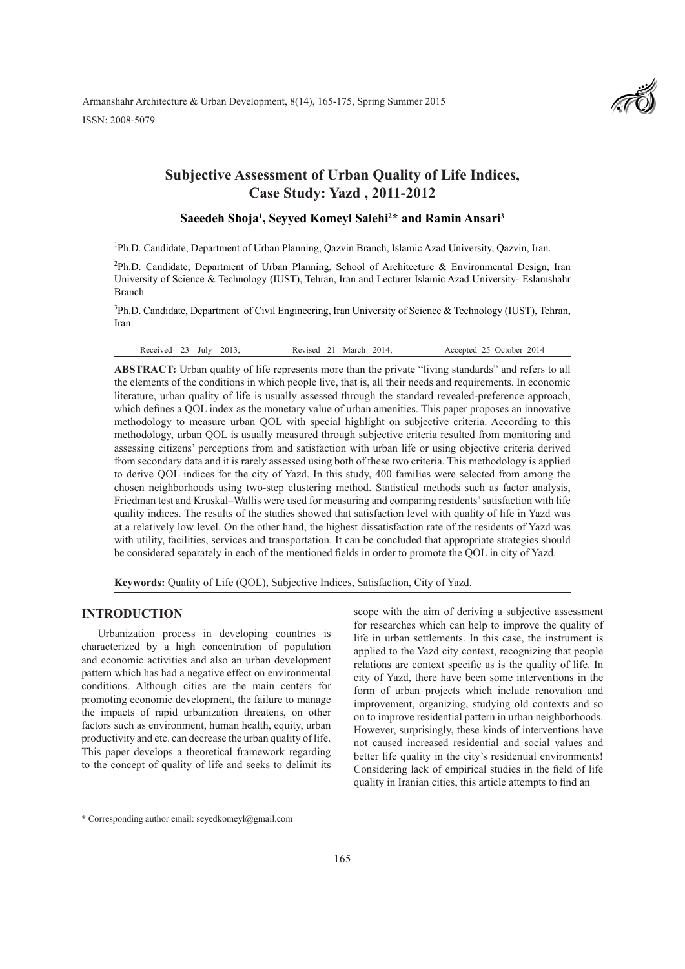Armanshahr Architecture & Urban Development, 8(14), 165-175, Spring Summer 2015 ISSN: 2008-5079



# **Subjective Assessment of Urban Quality of Life Indices, Case Study: Yazd , 2011-2012**

### **Saeedeh Shoja1 , Seyyed Komeyl Salehi2 \* and Ramin Ansari3**

<sup>1</sup>Ph.D. Candidate, Department of Urban Planning, Qazvin Branch, Islamic Azad University, Qazvin, Iran.

<sup>2</sup>Ph.D. Candidate, Department of Urban Planning, School of Architecture & Environmental Design, Iran University of Science & Technology (IUST), Tehran, Iran and Lecturer Islamic Azad University- Eslamshahr Branch

<sup>3</sup>Ph.D. Candidate, Department of Civil Engineering, Iran University of Science & Technology (IUST), Tehran, Iran.

Received 23 July 2013; Revised 21 March 2014; Accepted 25 October 2014

**ABSTRACT:** Urban quality of life represents more than the private "living standards" and refers to all the elements of the conditions in which people live, that is, all their needs and requirements. In economic literature, urban quality of life is usually assessed through the standard revealed-preference approach, which defines a QOL index as the monetary value of urban amenities. This paper proposes an innovative methodology to measure urban QOL with special highlight on subjective criteria. According to this methodology, urban QOL is usually measured through subjective criteria resulted from monitoring and assessing citizens' perceptions from and satisfaction with urban life or using objective criteria derived from secondary data and it is rarely assessed using both of these two criteria. This methodology is applied to derive QOL indices for the city of Yazd. In this study, 400 families were selected from among the chosen neighborhoods using two-step clustering method. Statistical methods such as factor analysis, Friedman test and Kruskal–Wallis were used for measuring and comparing residents' satisfaction with life quality indices. The results of the studies showed that satisfaction level with quality of life in Yazd was at a relatively low level. On the other hand, the highest dissatisfaction rate of the residents of Yazd was with utility, facilities, services and transportation. It can be concluded that appropriate strategies should be considered separately in each of the mentioned fields in order to promote the QOL in city of Yazd.

**Keywords:** Quality of Life (QOL), Subjective Indices, Satisfaction, City of Yazd.

### **INTRODUCTION**

Urbanization process in developing countries is characterized by a high concentration of population and economic activities and also an urban development pattern which has had a negative effect on environmental conditions. Although cities are the main centers for promoting economic development, the failure to manage the impacts of rapid urbanization threatens, on other factors such as environment, human health, equity, urban productivity and etc. can decrease the urban quality of life. This paper develops a theoretical framework regarding to the concept of quality of life and seeks to delimit its

scope with the aim of deriving a subjective assessment for researches which can help to improve the quality of life in urban settlements. In this case, the instrument is applied to the Yazd city context, recognizing that people relations are context specific as is the quality of life. In city of Yazd, there have been some interventions in the form of urban projects which include renovation and improvement, organizing, studying old contexts and so on to improve residential pattern in urban neighborhoods. However, surprisingly, these kinds of interventions have not caused increased residential and social values and better life quality in the city's residential environments! Considering lack of empirical studies in the field of life quality in Iranian cities, this article attempts to find an

<sup>\*</sup> Corresponding author email: seyedkomeyl@gmail.com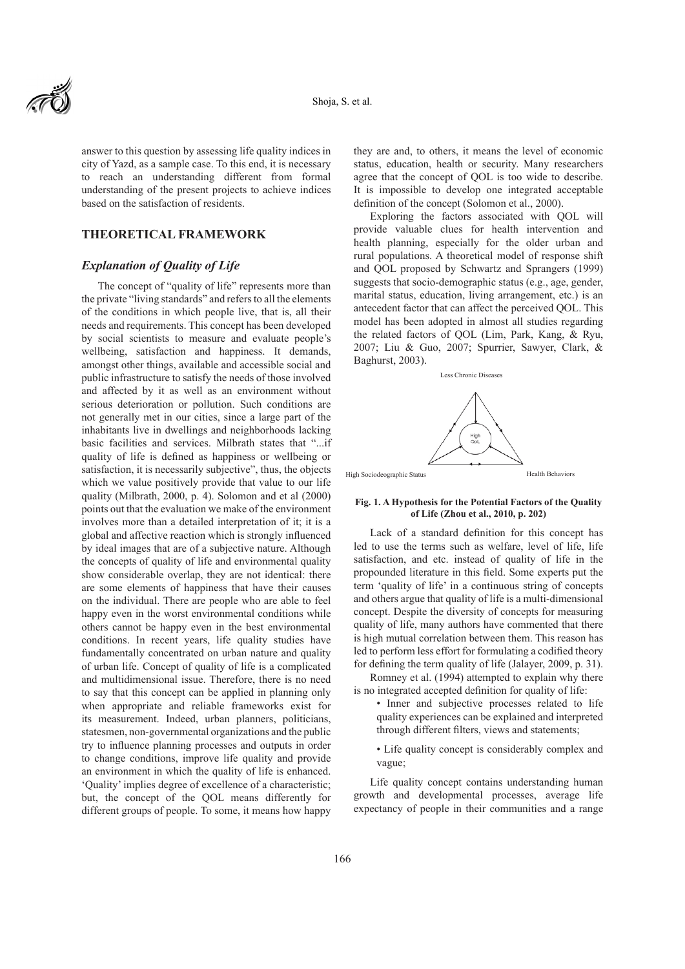

answer to this question by assessing life quality indices in city of Yazd, as a sample case. To this end, it is necessary to reach an understanding different from formal understanding of the present projects to achieve indices based on the satisfaction of residents.

# **THEORETICAL FRAMEWORK**

## *Explanation of Quality of Life*

The concept of "quality of life" represents more than the private "living standards" and refers to all the elements of the conditions in which people live, that is, all their needs and requirements. This concept has been developed by social scientists to measure and evaluate people's wellbeing, satisfaction and happiness. It demands, amongst other things, available and accessible social and public infrastructure to satisfy the needs of those involved and affected by it as well as an environment without serious deterioration or pollution. Such conditions are not generally met in our cities, since a large part of the inhabitants live in dwellings and neighborhoods lacking basic facilities and services. Milbrath states that "...if quality of life is defined as happiness or wellbeing or satisfaction, it is necessarily subjective", thus, the objects which we value positively provide that value to our life quality (Milbrath, 2000, p. 4). Solomon and et al (2000) points out that the evaluation we make of the environment involves more than a detailed interpretation of it; it is a global and affective reaction which is strongly influenced by ideal images that are of a subjective nature. Although the concepts of quality of life and environmental quality show considerable overlap, they are not identical: there are some elements of happiness that have their causes on the individual. There are people who are able to feel happy even in the worst environmental conditions while others cannot be happy even in the best environmental conditions. In recent years, life quality studies have fundamentally concentrated on urban nature and quality of urban life. Concept of quality of life is a complicated and multidimensional issue. Therefore, there is no need to say that this concept can be applied in planning only when appropriate and reliable frameworks exist for its measurement. Indeed, urban planners, politicians, statesmen, non-governmental organizations and the public try to influence planning processes and outputs in order to change conditions, improve life quality and provide an environment in which the quality of life is enhanced. 'Quality' implies degree of excellence of a characteristic; but, the concept of the QOL means differently for different groups of people. To some, it means how happy

they are and, to others, it means the level of economic status, education, health or security. Many researchers agree that the concept of QOL is too wide to describe. It is impossible to develop one integrated acceptable definition of the concept (Solomon et al., 2000).

Exploring the factors associated with QOL will provide valuable clues for health intervention and health planning, especially for the older urban and rural populations. A theoretical model of response shift and QOL proposed by Schwartz and Sprangers (1999) suggests that socio-demographic status (e.g., age, gender, marital status, education, living arrangement, etc.) is an antecedent factor that can affect the perceived QOL. This model has been adopted in almost all studies regarding the related factors of QOL (Lim, Park, Kang, & Ryu, 2007; Liu & Guo, 2007; Spurrier, Sawyer, Clark, & Baghurst, 2003).



High Sociodeographic Status

Health Behaviors

#### **Fig. 1. A Hypothesis for the Potential Factors of the Quality of Life (Zhou et al., 2010, p. 202)**

Lack of a standard definition for this concept has led to use the terms such as welfare, level of life, life satisfaction, and etc. instead of quality of life in the propounded literature in this field. Some experts put the term 'quality of life' in a continuous string of concepts and others argue that quality of life is a multi-dimensional concept. Despite the diversity of concepts for measuring quality of life, many authors have commented that there is high mutual correlation between them. This reason has led to perform less effort for formulating a codified theory for defining the term quality of life (Jalayer, 2009, p. 31).

Romney et al. (1994) attempted to explain why there is no integrated accepted definition for quality of life:

- Inner and subjective processes related to life quality experiences can be explained and interpreted through different filters, views and statements;
	- Life quality concept is considerably complex and vague;

Life quality concept contains understanding human growth and developmental processes, average life expectancy of people in their communities and a range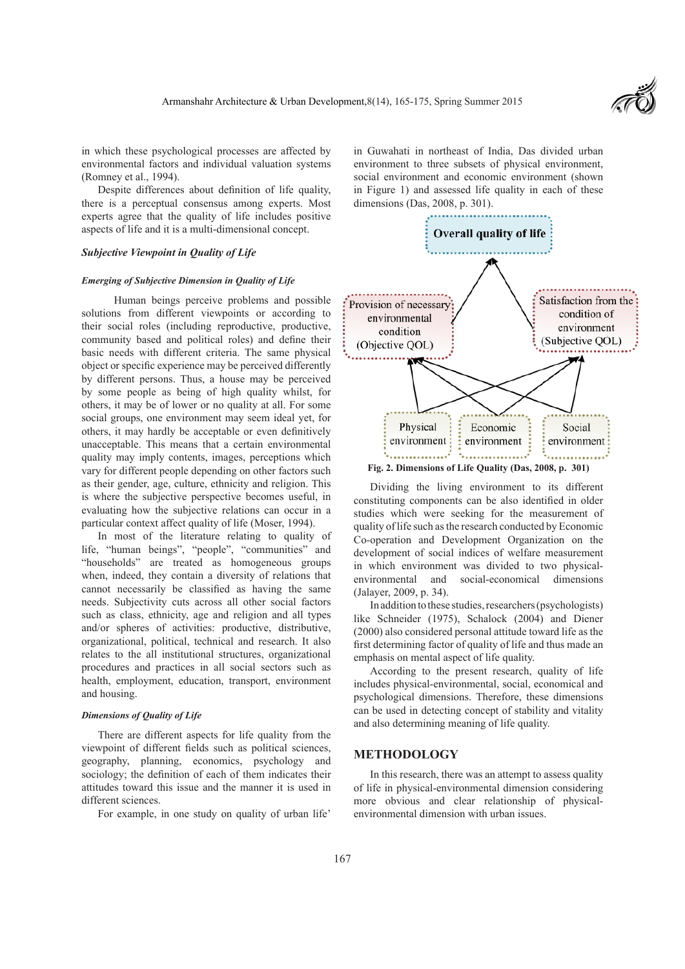

in which these psychological processes are affected by environmental factors and individual valuation systems (Romney et al., 1994).

Despite differences about definition of life quality, there is a perceptual consensus among experts. Most experts agree that the quality of life includes positive aspects of life and it is a multi-dimensional concept.

### *Subjective Viewpoint in Quality of Life*

#### *Emerging of Subjective Dimension in Quality of Life*

 Human beings perceive problems and possible solutions from different viewpoints or according to their social roles (including reproductive, productive, community based and political roles) and define their basic needs with different criteria. The same physical object or specific experience may be perceived differently by different persons. Thus, a house may be perceived by some people as being of high quality whilst, for others, it may be of lower or no quality at all. For some social groups, one environment may seem ideal yet, for others, it may hardly be acceptable or even definitively unacceptable. This means that a certain environmental quality may imply contents, images, perceptions which vary for different people depending on other factors such as their gender, age, culture, ethnicity and religion. This is where the subjective perspective becomes useful, in evaluating how the subjective relations can occur in a particular context affect quality of life (Moser, 1994).

In most of the literature relating to quality of life, "human beings", "people", "communities" and "households" are treated as homogeneous groups when, indeed, they contain a diversity of relations that cannot necessarily be classified as having the same needs. Subjectivity cuts across all other social factors such as class, ethnicity, age and religion and all types and/or spheres of activities: productive, distributive, organizational, political, technical and research. It also relates to the all institutional structures, organizational procedures and practices in all social sectors such as health, employment, education, transport, environment and housing.

### *Dimensions of Quality of Life*

There are different aspects for life quality from the viewpoint of different fields such as political sciences, geography, planning, economics, psychology and sociology; the definition of each of them indicates their attitudes toward this issue and the manner it is used in different sciences.

For example, in one study on quality of urban life'

in Guwahati in northeast of India, Das divided urban environment to three subsets of physical environment, social environment and economic environment (shown in Figure 1) and assessed life quality in each of these dimensions (Das, 2008, p. 301).



**Fig. 2. Dimensions of Life Quality (Das, 2008, p. 301)**

Dividing the living environment to its different constituting components can be also identified in older studies which were seeking for the measurement of quality of life such as the research conducted by Economic Co-operation and Development Organization on the development of social indices of welfare measurement in which environment was divided to two physicalenvironmental and social-economical dimensions (Jalayer, 2009, p. 34).

In addition to these studies, researchers (psychologists) like Schneider (1975), Schalock (2004) and Diener (2000) also considered personal attitude toward life as the first determining factor of quality of life and thus made an emphasis on mental aspect of life quality.

According to the present research, quality of life includes physical-environmental, social, economical and psychological dimensions. Therefore, these dimensions can be used in detecting concept of stability and vitality and also determining meaning of life quality.

### **METHODOLOGY**

In this research, there was an attempt to assess quality of life in physical-environmental dimension considering more obvious and clear relationship of physicalenvironmental dimension with urban issues.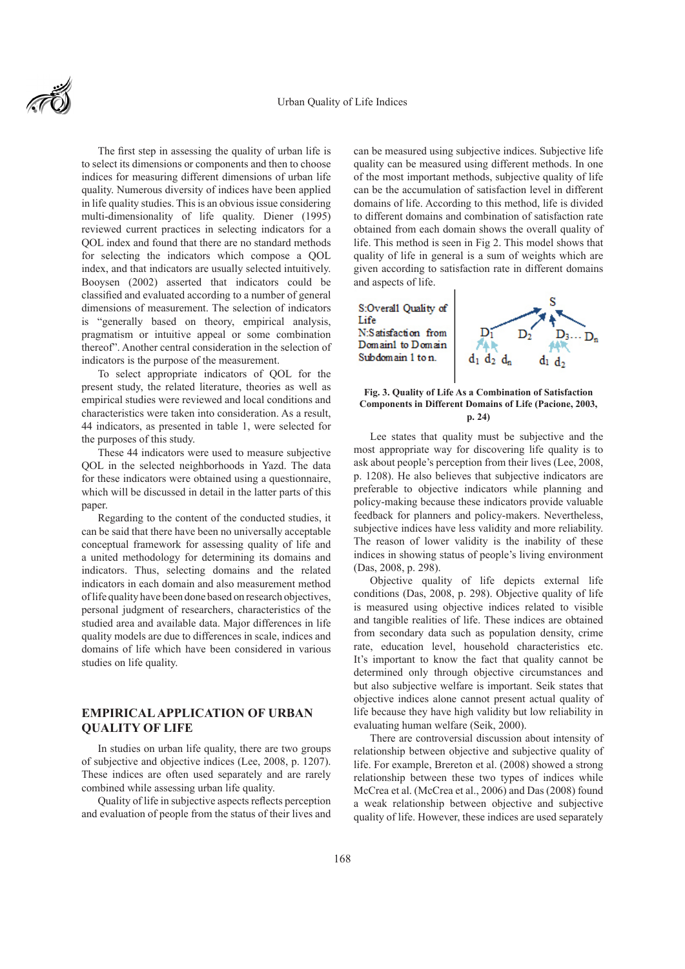#### Urban Quality of Life Indices



The first step in assessing the quality of urban life is to select its dimensions or components and then to choose indices for measuring different dimensions of urban life quality. Numerous diversity of indices have been applied in life quality studies. This is an obvious issue considering multi-dimensionality of life quality. Diener (1995) reviewed current practices in selecting indicators for a QOL index and found that there are no standard methods for selecting the indicators which compose a QOL index, and that indicators are usually selected intuitively. Booysen (2002) asserted that indicators could be classified and evaluated according to a number of general dimensions of measurement. The selection of indicators is "generally based on theory, empirical analysis, pragmatism or intuitive appeal or some combination thereof". Another central consideration in the selection of indicators is the purpose of the measurement.

To select appropriate indicators of QOL for the present study, the related literature, theories as well as empirical studies were reviewed and local conditions and characteristics were taken into consideration. As a result, 44 indicators, as presented in table 1, were selected for the purposes of this study.

These 44 indicators were used to measure subjective QOL in the selected neighborhoods in Yazd. The data for these indicators were obtained using a questionnaire, which will be discussed in detail in the latter parts of this paper.

Regarding to the content of the conducted studies, it can be said that there have been no universally acceptable conceptual framework for assessing quality of life and a united methodology for determining its domains and indicators. Thus, selecting domains and the related indicators in each domain and also measurement method of life quality have been done based on research objectives, personal judgment of researchers, characteristics of the studied area and available data. Major differences in life quality models are due to differences in scale, indices and domains of life which have been considered in various studies on life quality.

# **EMPIRICAL APPLICATION OF URBAN QUALITY OF LIFE**

In studies on urban life quality, there are two groups of subjective and objective indices (Lee, 2008, p. 1207). These indices are often used separately and are rarely combined while assessing urban life quality.

Quality of life in subjective aspects reflects perception and evaluation of people from the status of their lives and

can be measured using subjective indices. Subjective life quality can be measured using different methods. In one of the most important methods, subjective quality of life can be the accumulation of satisfaction level in different domains of life. According to this method, life is divided to different domains and combination of satisfaction rate obtained from each domain shows the overall quality of life. This method is seen in Fig 2. This model shows that quality of life in general is a sum of weights which are given according to satisfaction rate in different domains and aspects of life.



#### **Fig. 3. Quality of Life As a Combination of Satisfaction Components in Different Domains of Life (Pacione, 2003, p. 24)**

Lee states that quality must be subjective and the most appropriate way for discovering life quality is to ask about people's perception from their lives (Lee, 2008, p. 1208). He also believes that subjective indicators are preferable to objective indicators while planning and policy-making because these indicators provide valuable feedback for planners and policy-makers. Nevertheless, subjective indices have less validity and more reliability. The reason of lower validity is the inability of these indices in showing status of people's living environment (Das, 2008, p. 298).

Objective quality of life depicts external life conditions (Das, 2008, p. 298). Objective quality of life is measured using objective indices related to visible and tangible realities of life. These indices are obtained from secondary data such as population density, crime rate, education level, household characteristics etc. It's important to know the fact that quality cannot be determined only through objective circumstances and but also subjective welfare is important. Seik states that objective indices alone cannot present actual quality of life because they have high validity but low reliability in evaluating human welfare (Seik, 2000).

There are controversial discussion about intensity of relationship between objective and subjective quality of life. For example, Brereton et al. (2008) showed a strong relationship between these two types of indices while McCrea et al. (McCrea et al., 2006) and Das (2008) found a weak relationship between objective and subjective quality of life. However, these indices are used separately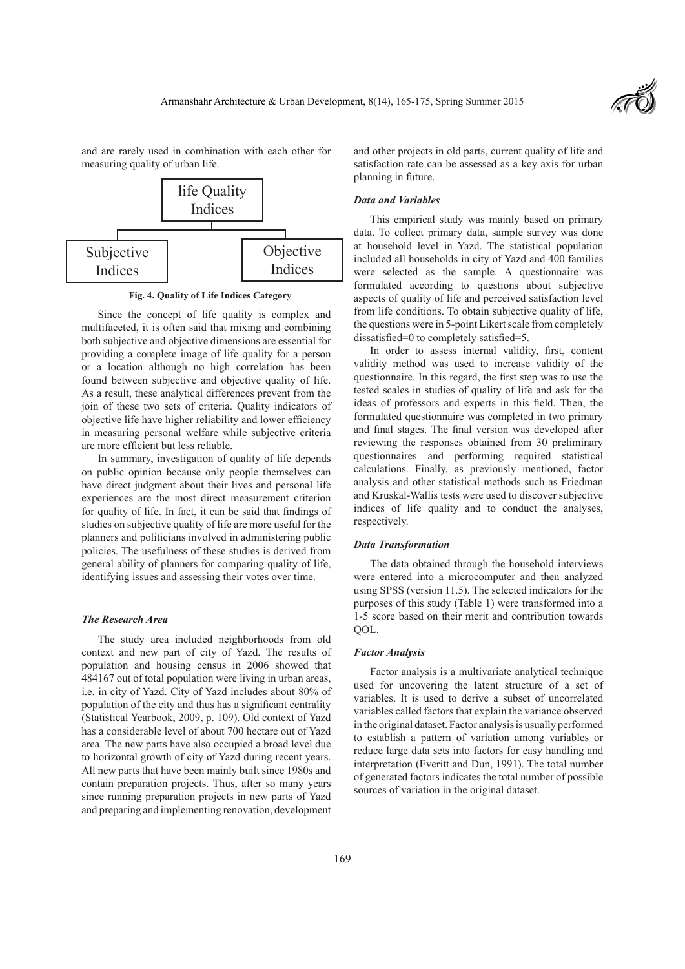

and are rarely used in combination with each other for measuring quality of urban life.



**Fig. 4. Quality of Life Indices Category**

Since the concept of life quality is complex and multifaceted, it is often said that mixing and combining both subjective and objective dimensions are essential for providing a complete image of life quality for a person or a location although no high correlation has been found between subjective and objective quality of life. As a result, these analytical differences prevent from the join of these two sets of criteria. Quality indicators of objective life have higher reliability and lower efficiency in measuring personal welfare while subjective criteria are more efficient but less reliable.

In summary, investigation of quality of life depends on public opinion because only people themselves can have direct judgment about their lives and personal life experiences are the most direct measurement criterion for quality of life. In fact, it can be said that findings of studies on subjective quality of life are more useful for the planners and politicians involved in administering public policies. The usefulness of these studies is derived from general ability of planners for comparing quality of life, identifying issues and assessing their votes over time.

#### *The Research Area*

The study area included neighborhoods from old context and new part of city of Yazd. The results of population and housing census in 2006 showed that 484167 out of total population were living in urban areas, i.e. in city of Yazd. City of Yazd includes about 80% of population of the city and thus has a significant centrality (Statistical Yearbook, 2009, p. 109). Old context of Yazd has a considerable level of about 700 hectare out of Yazd area. The new parts have also occupied a broad level due to horizontal growth of city of Yazd during recent years. All new parts that have been mainly built since 1980s and contain preparation projects. Thus, after so many years since running preparation projects in new parts of Yazd and preparing and implementing renovation, development

and other projects in old parts, current quality of life and satisfaction rate can be assessed as a key axis for urban planning in future.

#### *Data and Variables*

This empirical study was mainly based on primary data. To collect primary data, sample survey was done at household level in Yazd. The statistical population included all households in city of Yazd and 400 families were selected as the sample. A questionnaire was formulated according to questions about subjective aspects of quality of life and perceived satisfaction level from life conditions. To obtain subjective quality of life, the questions were in 5-point Likert scale from completely dissatisfied=0 to completely satisfied=5.

In order to assess internal validity, first, content validity method was used to increase validity of the questionnaire. In this regard, the first step was to use the tested scales in studies of quality of life and ask for the ideas of professors and experts in this field. Then, the formulated questionnaire was completed in two primary and final stages. The final version was developed after reviewing the responses obtained from 30 preliminary questionnaires and performing required statistical calculations. Finally, as previously mentioned, factor analysis and other statistical methods such as Friedman and Kruskal-Wallis tests were used to discover subjective indices of life quality and to conduct the analyses, respectively.

#### *Data Transformation*

The data obtained through the household interviews were entered into a microcomputer and then analyzed using SPSS (version 11.5). The selected indicators for the purposes of this study (Table 1) were transformed into a 1-5 score based on their merit and contribution towards  $OOL$ 

#### *Factor Analysis*

Factor analysis is a multivariate analytical technique used for uncovering the latent structure of a set of variables. It is used to derive a subset of uncorrelated variables called factors that explain the variance observed in the original dataset. Factor analysis is usually performed to establish a pattern of variation among variables or reduce large data sets into factors for easy handling and interpretation (Everitt and Dun, 1991). The total number of generated factors indicates the total number of possible sources of variation in the original dataset.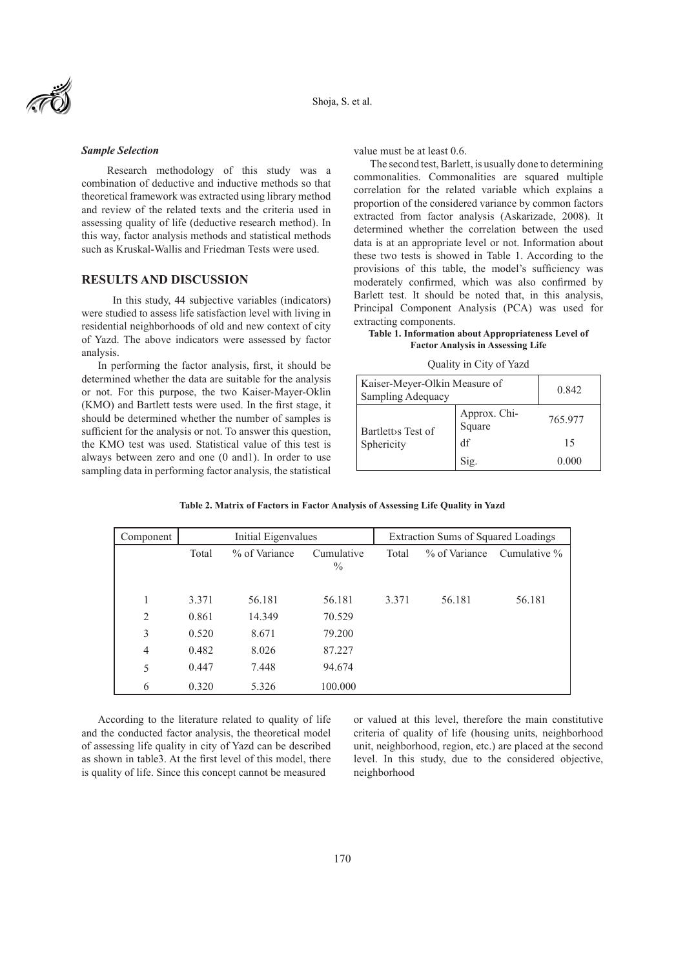### *Sample Selection*

 Research methodology of this study was a combination of deductive and inductive methods so that theoretical framework was extracted using library method and review of the related texts and the criteria used in assessing quality of life (deductive research method). In this way, factor analysis methods and statistical methods such as Kruskal-Wallis and Friedman Tests were used.

### **RESULTS AND DISCUSSION**

 In this study, 44 subjective variables (indicators) were studied to assess life satisfaction level with living in residential neighborhoods of old and new context of city of Yazd. The above indicators were assessed by factor analysis.

In performing the factor analysis, first, it should be determined whether the data are suitable for the analysis or not. For this purpose, the two Kaiser-Mayer-Oklin (KMO) and Bartlett tests were used. In the first stage, it should be determined whether the number of samples is sufficient for the analysis or not. To answer this question, the KMO test was used. Statistical value of this test is always between zero and one (0 and1). In order to use sampling data in performing factor analysis, the statistical

value must be at least 0.6.

The second test, Barlett, is usually done to determining commonalities. Commonalities are squared multiple correlation for the related variable which explains a proportion of the considered variance by common factors extracted from factor analysis (Askarizade, 2008). It determined whether the correlation between the used data is at an appropriate level or not. Information about these two tests is showed in Table 1. According to the provisions of this table, the model's sufficiency was moderately confirmed, which was also confirmed by Barlett test. It should be noted that, in this analysis, Principal Component Analysis (PCA) was used for extracting components.

### **Table 1. Information about Appropriateness Level of Factor Analysis in Assessing Life**

#### Quality in City of Yazd

| Kaiser-Meyer-Olkin Measure of<br>Sampling Adequacy |                        | 0.842   |
|----------------------------------------------------|------------------------|---------|
| Bartlett s Test of                                 | Approx. Chi-<br>Square | 765.977 |
| Sphericity                                         | df                     | 15      |
|                                                    | S1g.                   | 0.000   |

**Table 2. Matrix of Factors in Factor Analysis of Assessing Life Quality in Yazd**

| Component      | Initial Eigenvalues |               |                             | Extraction Sums of Squared Loadings |        |                                  |
|----------------|---------------------|---------------|-----------------------------|-------------------------------------|--------|----------------------------------|
|                | Total               | % of Variance | Cumulative<br>$\frac{0}{0}$ | Total                               |        | $\%$ of Variance Cumulative $\%$ |
|                | 3.371               | 56.181        | 56.181                      | 3.371                               | 56.181 | 56.181                           |
| 2              | 0.861               | 14.349        | 70.529                      |                                     |        |                                  |
| 3              | 0.520               | 8.671         | 79.200                      |                                     |        |                                  |
| $\overline{4}$ | 0.482               | 8.026         | 87.227                      |                                     |        |                                  |
| 5              | 0.447               | 7.448         | 94.674                      |                                     |        |                                  |
| 6              | 0.320               | 5.326         | 100.000                     |                                     |        |                                  |

According to the literature related to quality of life and the conducted factor analysis, the theoretical model of assessing life quality in city of Yazd can be described as shown in table3. At the first level of this model, there is quality of life. Since this concept cannot be measured

or valued at this level, therefore the main constitutive criteria of quality of life (housing units, neighborhood unit, neighborhood, region, etc.) are placed at the second level. In this study, due to the considered objective, neighborhood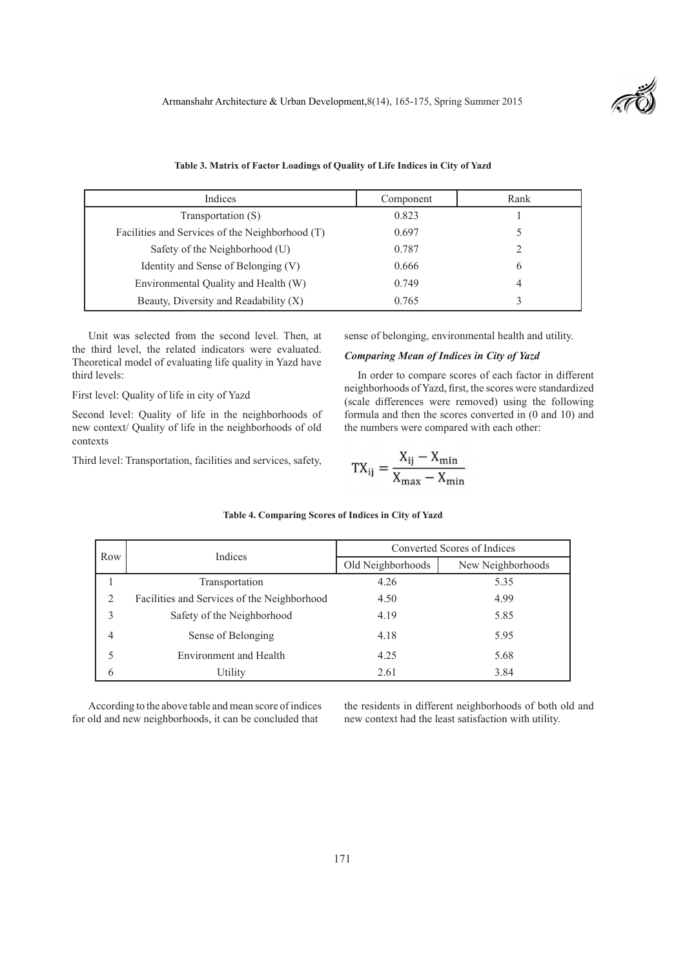

| Indices                                         | Component | Rank |
|-------------------------------------------------|-----------|------|
| Transportation (S)                              | 0.823     |      |
| Facilities and Services of the Neighborhood (T) | 0.697     |      |
| Safety of the Neighborhood (U)                  | 0.787     |      |
| Identity and Sense of Belonging (V)             | 0.666     | b    |
| Environmental Quality and Health (W)            | 0.749     |      |
| Beauty, Diversity and Readability $(X)$         | 0.765     |      |

Unit was selected from the second level. Then, at the third level, the related indicators were evaluated. Theoretical model of evaluating life quality in Yazd have third levels:

First level: Quality of life in city of Yazd

Second level: Quality of life in the neighborhoods of new context/ Quality of life in the neighborhoods of old contexts

Third level: Transportation, facilities and services, safety,

sense of belonging, environmental health and utility.

### *Comparing Mean of Indices in City of Yazd*

 In order to compare scores of each factor in different neighborhoods of Yazd, first, the scores were standardized (scale differences were removed) using the following formula and then the scores converted in (0 and 10) and the numbers were compared with each other:

$$
TX_{ij} = \frac{X_{ij} - X_{min}}{X_{max} - X_{min}}
$$

|                | Indices                                     | Converted Scores of Indices |                   |  |
|----------------|---------------------------------------------|-----------------------------|-------------------|--|
| Row            |                                             | Old Neighborhoods           | New Neighborhoods |  |
|                | Transportation                              | 4.26                        | 5.35              |  |
| $\overline{2}$ | Facilities and Services of the Neighborhood | 4.50                        | 4.99              |  |
| 3              | Safety of the Neighborhood                  | 4.19                        | 5.85              |  |
| 4              | Sense of Belonging                          | 4.18                        | 5.95              |  |
| 5              | <b>Environment and Health</b>               | 4.25                        | 5.68              |  |
| 6              | Utility                                     | 2.61                        | 3.84              |  |

#### **Table 4. Comparing Scores of Indices in City of Yazd**

According to the above table and mean score of indices for old and new neighborhoods, it can be concluded that

the residents in different neighborhoods of both old and new context had the least satisfaction with utility.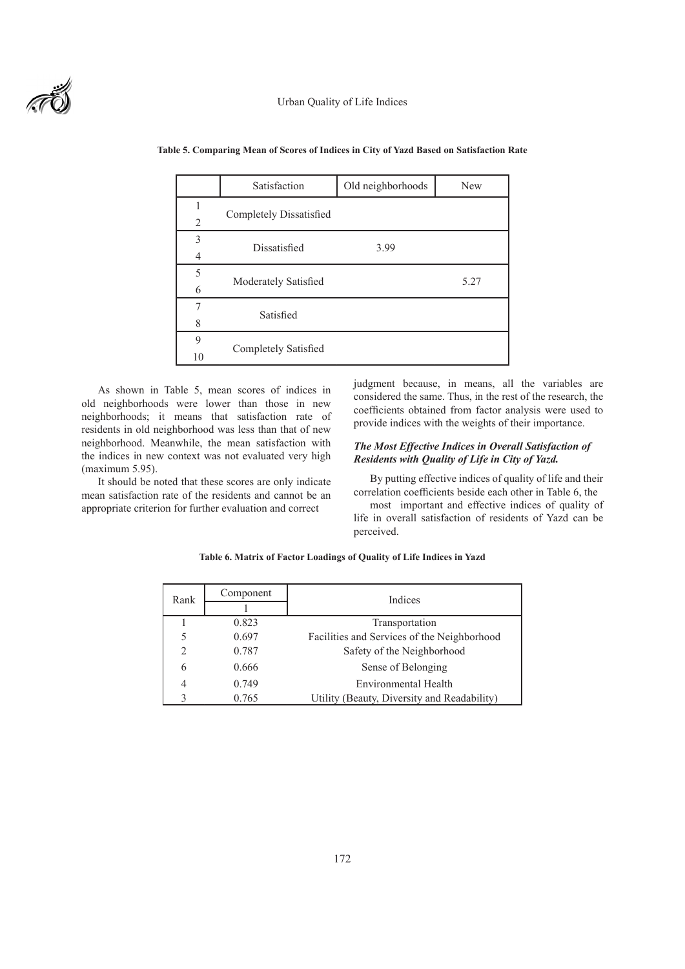

|                | Satisfaction            | Old neighborhoods | <b>New</b> |
|----------------|-------------------------|-------------------|------------|
|                |                         |                   |            |
| $\overline{2}$ | Completely Dissatisfied |                   |            |
| 3              | Dissatisfied            | 3.99              |            |
| $\overline{4}$ |                         |                   |            |
| 5              |                         |                   | 5.27       |
| 6              | Moderately Satisfied    |                   |            |
| 7              | Satisfied               |                   |            |
| 8              |                         |                   |            |
| 9              |                         |                   |            |
| 10             | Completely Satisfied    |                   |            |

#### **Table 5. Comparing Mean of Scores of Indices in City of Yazd Based on Satisfaction Rate**

As shown in Table 5, mean scores of indices in old neighborhoods were lower than those in new neighborhoods; it means that satisfaction rate of residents in old neighborhood was less than that of new neighborhood. Meanwhile, the mean satisfaction with the indices in new context was not evaluated very high (maximum 5.95).

It should be noted that these scores are only indicate mean satisfaction rate of the residents and cannot be an appropriate criterion for further evaluation and correct

judgment because, in means, all the variables are considered the same. Thus, in the rest of the research, the coefficients obtained from factor analysis were used to provide indices with the weights of their importance.

### *The Most Effective Indices in Overall Satisfaction of Residents with Quality of Life in City of Yazd.*

By putting effective indices of quality of life and their correlation coefficients beside each other in Table 6, the

most important and effective indices of quality of life in overall satisfaction of residents of Yazd can be perceived.

| Rank | Component | Indices                                     |  |
|------|-----------|---------------------------------------------|--|
|      |           |                                             |  |
|      | 0.823     | Transportation                              |  |
| 5    | 0.697     | Facilities and Services of the Neighborhood |  |
| 2    | 0.787     | Safety of the Neighborhood                  |  |
| 6    | 0.666     | Sense of Belonging                          |  |
| 4    | 0.749     | Environmental Health                        |  |
|      | 0.765     | Utility (Beauty, Diversity and Readability) |  |

**Table 6. Matrix of Factor Loadings of Quality of Life Indices in Yazd**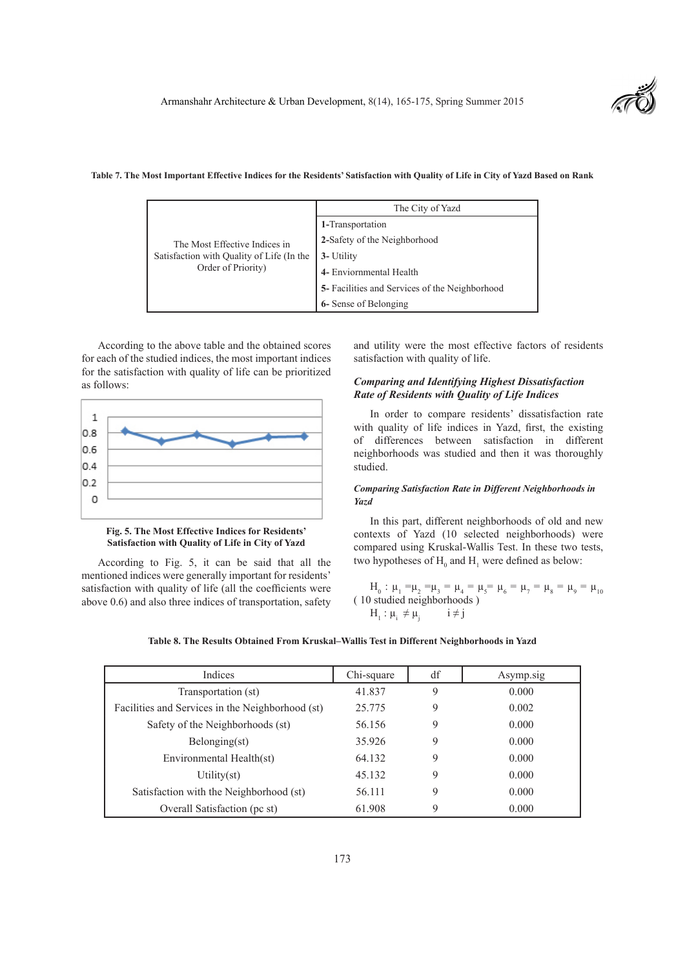

|                                                                                                  | The City of Yazd                               |
|--------------------------------------------------------------------------------------------------|------------------------------------------------|
| The Most Effective Indices in<br>Satisfaction with Quality of Life (In the<br>Order of Priority) | 1-Transportation                               |
|                                                                                                  | 2-Safety of the Neighborhood                   |
|                                                                                                  | 3- Utility                                     |
|                                                                                                  | 4- Enviornmental Health                        |
|                                                                                                  | 5- Facilities and Services of the Neighborhood |
|                                                                                                  | 6- Sense of Belonging                          |

#### **Table 7. The Most Important Effective Indices for the Residents' Satisfaction with Quality of Life in City of Yazd Based on Rank**

According to the above table and the obtained scores for each of the studied indices, the most important indices for the satisfaction with quality of life can be prioritized as follows:



**Fig. 5. The Most Effective Indices for Residents' Satisfaction with Quality of Life in City of Yazd**

According to Fig. 5, it can be said that all the mentioned indices were generally important for residents' satisfaction with quality of life (all the coefficients were above 0.6) and also three indices of transportation, safety and utility were the most effective factors of residents satisfaction with quality of life.

### *Comparing and Identifying Highest Dissatisfaction Rate of Residents with Quality of Life Indices*

In order to compare residents' dissatisfaction rate with quality of life indices in Yazd, first, the existing of differences between satisfaction in different neighborhoods was studied and then it was thoroughly studied.

### *Comparing Satisfaction Rate in Different Neighborhoods in Yazd*

In this part, different neighborhoods of old and new contexts of Yazd (10 selected neighborhoods) were compared using Kruskal-Wallis Test. In these two tests, two hypotheses of  $H_0$  and  $H_1$  were defined as below:

 $H_0$ :  $\mu_1 = \mu_2 = \mu_3 = \mu_4 = \mu_5 = \mu_6 = \mu_7 = \mu_8 = \mu_9 = \mu_{10}$ ( 10 studied neighborhoods )  $H_1$  :  $\mu_i \neq \mu_j$  $i \neq j$ 

| Indices                                          | Chi-square | df | Asymp.sig |
|--------------------------------------------------|------------|----|-----------|
| Transportation (st)                              | 41.837     |    | 0.000     |
| Facilities and Services in the Neighborhood (st) | 25.775     |    | 0.002     |
| Safety of the Neighborhoods (st)                 | 56.156     |    | 0.000     |
| Belonging(st)                                    | 35.926     |    | 0.000     |

Environmental Health(st) 64.132 9 0.000

Satisfaction with the Neighborhood (st)  $56.111$  9 0.000 Overall Satisfaction (pc st) 61.908 9 0.000

Utility(st) 45.132 9 0.000

# **Table 8. The Results Obtained From Kruskal–Wallis Test in Different Neighborhoods in Yazd**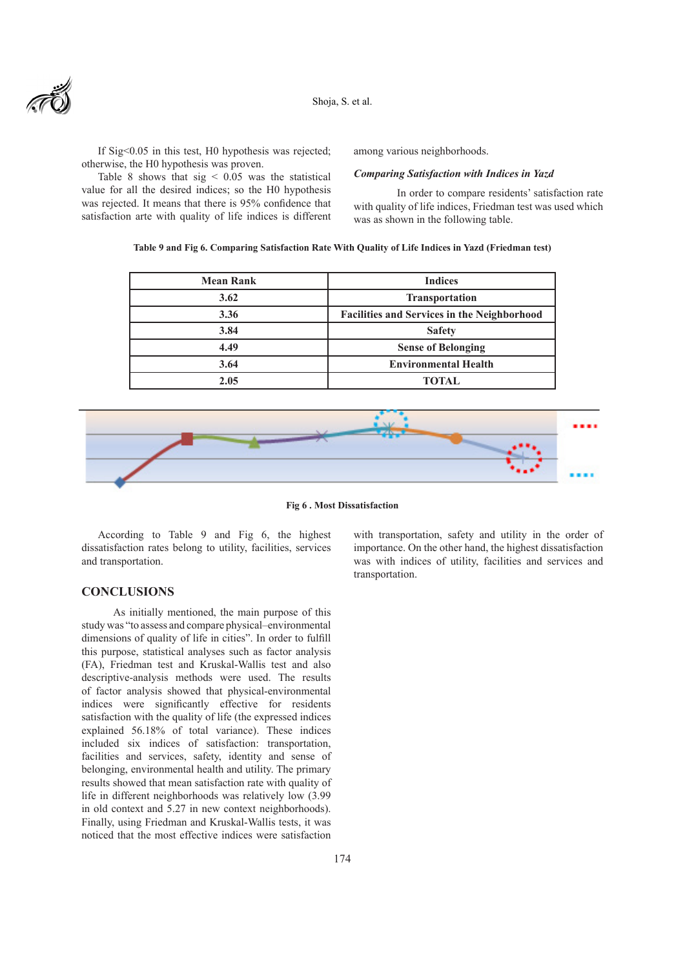

Shoja, S. et al.

If Sig<0.05 in this test, H0 hypothesis was rejected; otherwise, the H0 hypothesis was proven.

Table 8 shows that  $sig \leq 0.05$  was the statistical value for all the desired indices; so the H0 hypothesis was rejected. It means that there is 95% confidence that satisfaction arte with quality of life indices is different among various neighborhoods.

#### *Comparing Satisfaction with Indices in Yazd*

 In order to compare residents' satisfaction rate with quality of life indices, Friedman test was used which was as shown in the following table.

### **Table 9 and Fig 6. Comparing Satisfaction Rate With Quality of Life Indices in Yazd (Friedman test)**

| <b>Indices</b>                                     |
|----------------------------------------------------|
| <b>Transportation</b>                              |
| <b>Facilities and Services in the Neighborhood</b> |
| <b>Safety</b>                                      |
| <b>Sense of Belonging</b>                          |
| <b>Environmental Health</b>                        |
| <b>TOTAL</b>                                       |
|                                                    |



**Fig 6 . Most Dissatisfaction**

According to Table 9 and Fig 6, the highest dissatisfaction rates belong to utility, facilities, services and transportation.

# **CONCLUSIONS**

 As initially mentioned, the main purpose of this study was "to assess and compare physical–environmental dimensions of quality of life in cities". In order to fulfill this purpose, statistical analyses such as factor analysis (FA), Friedman test and Kruskal-Wallis test and also descriptive-analysis methods were used. The results of factor analysis showed that physical-environmental indices were significantly effective for residents satisfaction with the quality of life (the expressed indices explained 56.18% of total variance). These indices included six indices of satisfaction: transportation, facilities and services, safety, identity and sense of belonging, environmental health and utility. The primary results showed that mean satisfaction rate with quality of life in different neighborhoods was relatively low (3.99 in old context and 5.27 in new context neighborhoods). Finally, using Friedman and Kruskal-Wallis tests, it was noticed that the most effective indices were satisfaction

with transportation, safety and utility in the order of importance. On the other hand, the highest dissatisfaction was with indices of utility, facilities and services and transportation.